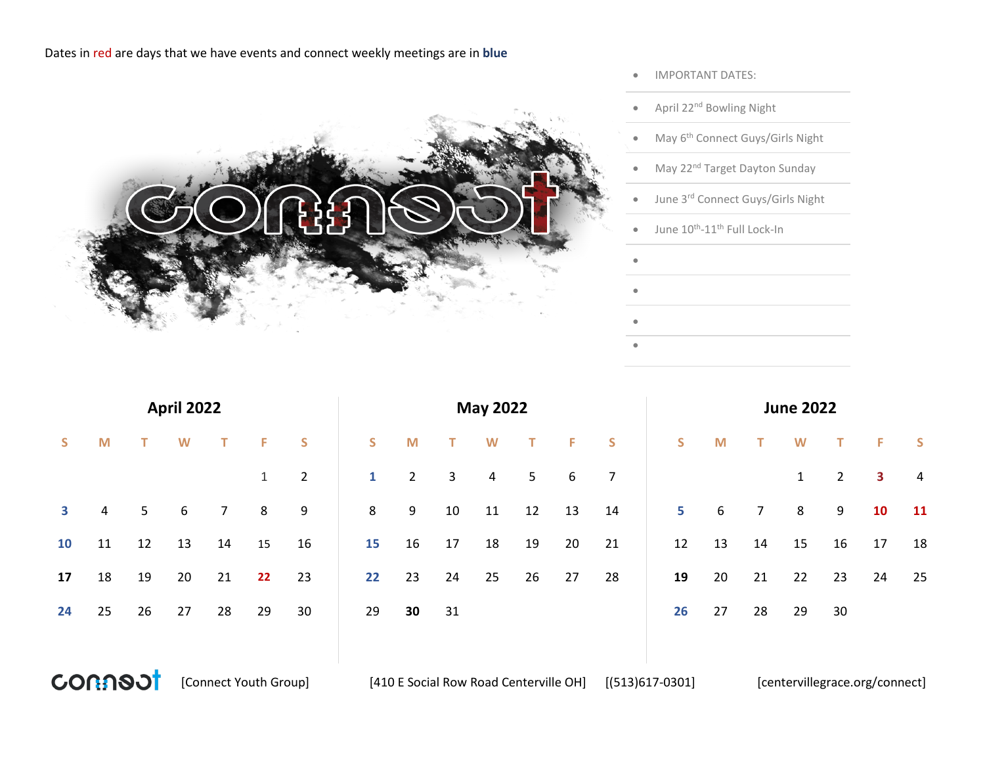## Dates in red are days that we have events and connect weekly meetings are in **blue**



- IMPORTANT DATES:
- April 22nd Bowling Night
- May 6<sup>th</sup> Connect Guys/Girls Night
- May 22<sup>nd</sup> Target Dayton Sunday
- June 3rd Connect Guys/Girls Night
- $\bullet$  June  $10^{\text{th}}$ -11<sup>th</sup> Full Lock-In

•

•

• •

|                         |                |                | <b>April 2022</b> |                |              |                |    |             |        | <b>May 2022</b> |        |           |                | <b>June 2022</b> |    |                |              |                |    |                |  |  |  |
|-------------------------|----------------|----------------|-------------------|----------------|--------------|----------------|----|-------------|--------|-----------------|--------|-----------|----------------|------------------|----|----------------|--------------|----------------|----|----------------|--|--|--|
| S                       | M              | т              | W                 | T.             | F.           | <b>S</b>       | S. | M           | T      | W               | $\top$ | $-$ F $-$ | <b>S</b>       | S                | M  | $\top$         | W            | $\mathbf{T}$   | F. | $\mathsf{S}$   |  |  |  |
|                         |                |                |                   |                | $\mathbf{1}$ | $\overline{2}$ | 1  | $2^{\circ}$ | 3      | $\overline{4}$  | 5      | 6         | $\overline{7}$ |                  |    |                | $\mathbf{1}$ | $\overline{2}$ | 3  | $\overline{4}$ |  |  |  |
| $\overline{\mathbf{3}}$ | $\overline{4}$ | 5 <sub>1</sub> | 6                 | 7 <sup>7</sup> | 8            | 9              | 8  | 9           | $10\,$ | 11              | 12     | 13        | 14             | 5                | 6  | 7 <sup>7</sup> | 8            | 9              | 10 | 11             |  |  |  |
| 10                      | 11             | 12             | 13                | 14             | 15           | 16             | 15 | 16          | 17     | 18              | 19     | 20        | 21             | 12               | 13 | 14             | 15           | 16             | 17 | 18             |  |  |  |
| 17                      | 18             | 19             | 20                | 21             | 22           | 23             | 22 | 23          | 24     | 25              | 26     | 27        | 28             | 19               | 20 | 21             | 22           | 23             | 24 | 25             |  |  |  |
| 24                      | 25             | 26             | 27                | 28             | 29           | 30             | 29 | 30          | 31     |                 |        |           |                | 26               | 27 | 28             | 29           | 30             |    |                |  |  |  |
|                         |                |                |                   |                |              |                |    |             |        |                 |        |           |                |                  |    |                |              |                |    |                |  |  |  |



[Connect Youth Group] [410 E Social Row Road Centerville OH] [(513)617-0301] [centervillegrace.org/connect]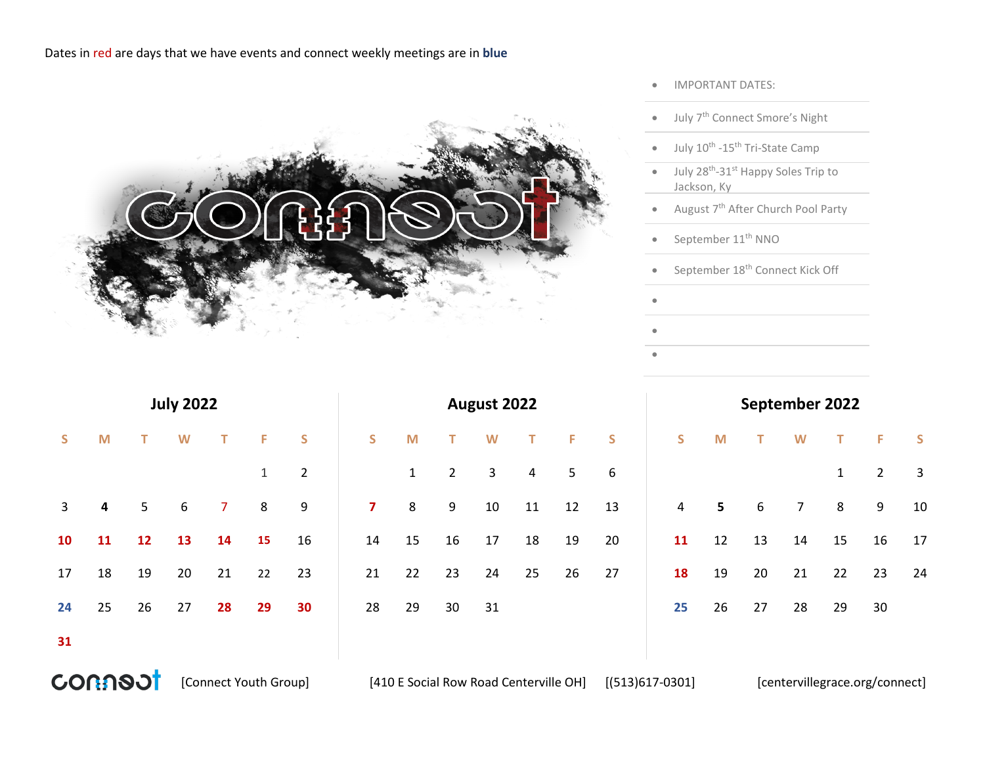## Dates in red are days that we have events and connect weekly meetings are in **blue**



- IMPORTANT DATES:
- July 7th Connect Smore's Night
- July  $10^{\text{th}}$  -15<sup>th</sup> Tri-State Camp
- July 28<sup>th</sup>-31<sup>st</sup> Happy Soles Trip to Jackson, Ky
- August 7<sup>th</sup> After Church Pool Party
- September  $11<sup>th</sup>$  NNO

•

• •

• September 18th Connect Kick Off

|    |                         |                | <b>July 2022</b> |                |              |                |    | September 2022 |                |    |                |    |              |    |  |                |              |                |    |                |          |
|----|-------------------------|----------------|------------------|----------------|--------------|----------------|----|----------------|----------------|----|----------------|----|--------------|----|--|----------------|--------------|----------------|----|----------------|----------|
| S. | M                       | T.             | W                | $\mathsf T$    | F.           | S              | S. | M              | $\top$         | W  | $\mathbf{T}$   | Æ  | $\mathsf{S}$ | S. |  | M              | $\mathbf{T}$ | W              | T. | F.             | <b>S</b> |
|    |                         |                |                  |                | $\mathbf{1}$ | $\overline{2}$ |    | 1              | $\overline{2}$ | 3  | $\overline{4}$ | 5  | 6            |    |  |                |              |                | 1  | $\overline{2}$ | 3        |
| 3  | $\overline{\mathbf{4}}$ | 5 <sup>1</sup> | 6                | 7 <sup>7</sup> | 8            | 9              | 7  | 8              | 9              | 10 | 11             | 12 | 13           | 4  |  | 5 <sup>5</sup> | 6            | $\overline{7}$ | 8  | 9              | 10       |
| 10 | 11                      | 12             | 13               | 14             | 15           | 16             | 14 | 15             | 16             | 17 | 18             | 19 | 20           | 11 |  | 12             | 13           | 14             | 15 | 16             | 17       |
| 17 | 18                      | 19             | 20               | 21             | 22           | 23             | 21 | 22             | 23             | 24 | 25             | 26 | 27           | 18 |  | 19             | 20           | 21             | 22 | 23             | 24       |
| 24 | 25                      | 26             | 27               | 28             | 29           | 30             | 28 | 29             | 30             | 31 |                |    |              | 25 |  | 26             | 27           | 28             | 29 | 30             |          |
| 31 |                         |                |                  |                |              |                |    |                |                |    |                |    |              |    |  |                |              |                |    |                |          |



[Connect Youth Group] [410 E Social Row Road Centerville OH] [(513)617-0301] [centervillegrace.org/connect]